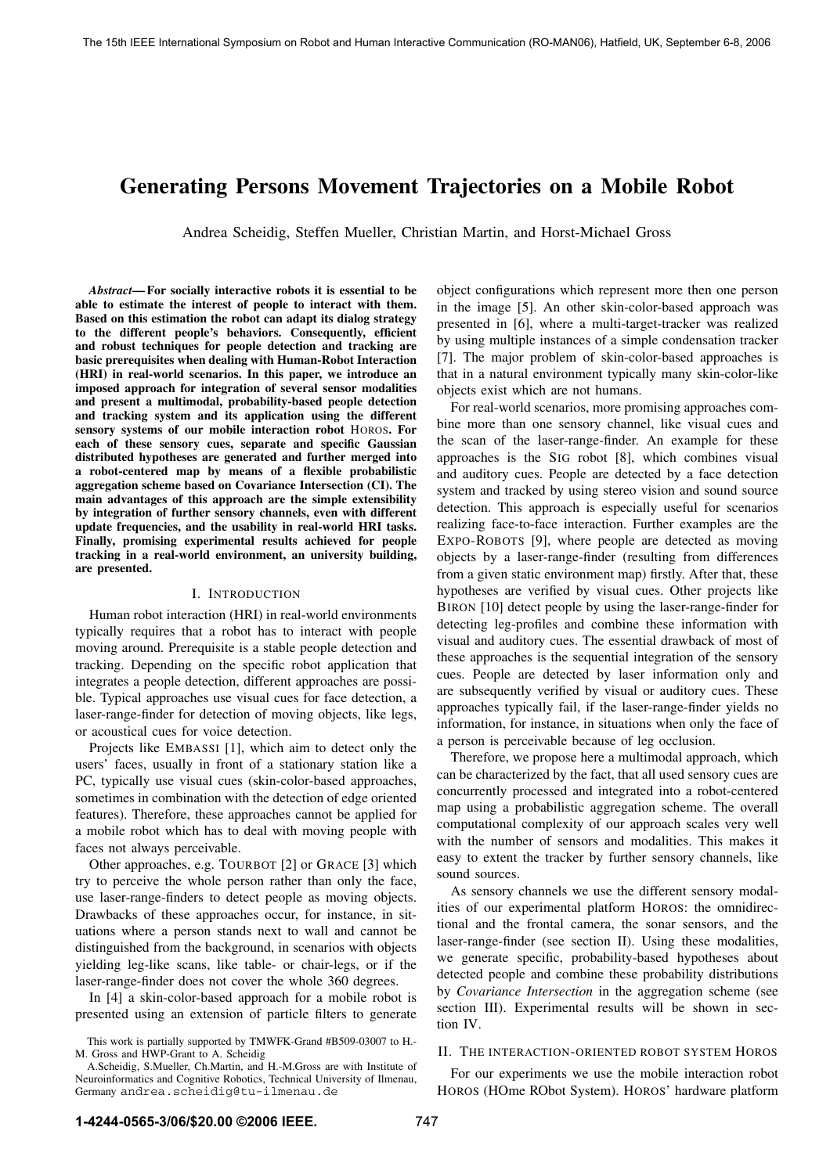# **Generating Persons Movement Trajectories on a Mobile Robot**

Andrea Scheidig, Steffen Mueller, Christian Martin, and Horst-Michael Gross

*Abstract***— For socially interactive robots it is essential to be able to estimate the interest of people to interact with them. Based on this estimation the robot can adapt its dialog strategy to the different people's behaviors. Consequently, efficient and robust techniques for people detection and tracking are basic prerequisites when dealing with Human-Robot Interaction (HRI) in real-world scenarios. In this paper, we introduce an imposed approach for integration of several sensor modalities and present a multimodal, probability-based people detection and tracking system and its application using the different sensory systems of our mobile interaction robot** HOROS**. For each of these sensory cues, separate and specific Gaussian distributed hypotheses are generated and further merged into a robot-centered map by means of a flexible probabilistic aggregation scheme based on Covariance Intersection (CI). The main advantages of this approach are the simple extensibility by integration of further sensory channels, even with different update frequencies, and the usability in real-world HRI tasks. Finally, promising experimental results achieved for people tracking in a real-world environment, an university building, are presented.**

#### I. INTRODUCTION

Human robot interaction (HRI) in real-world environments typically requires that a robot has to interact with people moving around. Prerequisite is a stable people detection and tracking. Depending on the specific robot application that integrates a people detection, different approaches are possible. Typical approaches use visual cues for face detection, a laser-range-finder for detection of moving objects, like legs, or acoustical cues for voice detection.

Projects like EMBASSI [1], which aim to detect only the users' faces, usually in front of a stationary station like a PC, typically use visual cues (skin-color-based approaches, sometimes in combination with the detection of edge oriented features). Therefore, these approaches cannot be applied for a mobile robot which has to deal with moving people with faces not always perceivable.

Other approaches, e.g. TOURBOT [2] or GRACE [3] which try to perceive the whole person rather than only the face, use laser-range-finders to detect people as moving objects. Drawbacks of these approaches occur, for instance, in situations where a person stands next to wall and cannot be distinguished from the background, in scenarios with objects yielding leg-like scans, like table- or chair-legs, or if the laser-range-finder does not cover the whole 360 degrees.

In [4] a skin-color-based approach for a mobile robot is presented using an extension of particle filters to generate object configurations which represent more then one person in the image [5]. An other skin-color-based approach was presented in [6], where a multi-target-tracker was realized by using multiple instances of a simple condensation tracker [7]. The major problem of skin-color-based approaches is that in a natural environment typically many skin-color-like objects exist which are not humans.

For real-world scenarios, more promising approaches combine more than one sensory channel, like visual cues and the scan of the laser-range-finder. An example for these approaches is the SIG robot [8], which combines visual and auditory cues. People are detected by a face detection system and tracked by using stereo vision and sound source detection. This approach is especially useful for scenarios realizing face-to-face interaction. Further examples are the EXPO-ROBOTS [9], where people are detected as moving objects by a laser-range-finder (resulting from differences from a given static environment map) firstly. After that, these hypotheses are verified by visual cues. Other projects like BIRON [10] detect people by using the laser-range-finder for detecting leg-profiles and combine these information with visual and auditory cues. The essential drawback of most of these approaches is the sequential integration of the sensory cues. People are detected by laser information only and are subsequently verified by visual or auditory cues. These approaches typically fail, if the laser-range-finder yields no information, for instance, in situations when only the face of a person is perceivable because of leg occlusion.

Therefore, we propose here a multimodal approach, which can be characterized by the fact, that all used sensory cues are concurrently processed and integrated into a robot-centered map using a probabilistic aggregation scheme. The overall computational complexity of our approach scales very well with the number of sensors and modalities. This makes it easy to extent the tracker by further sensory channels, like sound sources.

As sensory channels we use the different sensory modalities of our experimental platform HOROS: the omnidirectional and the frontal camera, the sonar sensors, and the laser-range-finder (see section II). Using these modalities, we generate specific, probability-based hypotheses about detected people and combine these probability distributions by *Covariance Intersection* in the aggregation scheme (see section III). Experimental results will be shown in section IV.

# II. THE INTERACTION-ORIENTED ROBOT SYSTEM HOROS

For our experiments we use the mobile interaction robot HOROS (HOme RObot System). HOROS' hardware platform

This work is partially supported by TMWFK-Grand #B509-03007 to H.- M. Gross and HWP-Grant to A. Scheidig

A.Scheidig, S.Mueller, Ch.Martin, and H.-M.Gross are with Institute of Neuroinformatics and Cognitive Robotics, Technical University of Ilmenau, Germany andrea.scheidig@tu-ilmenau.de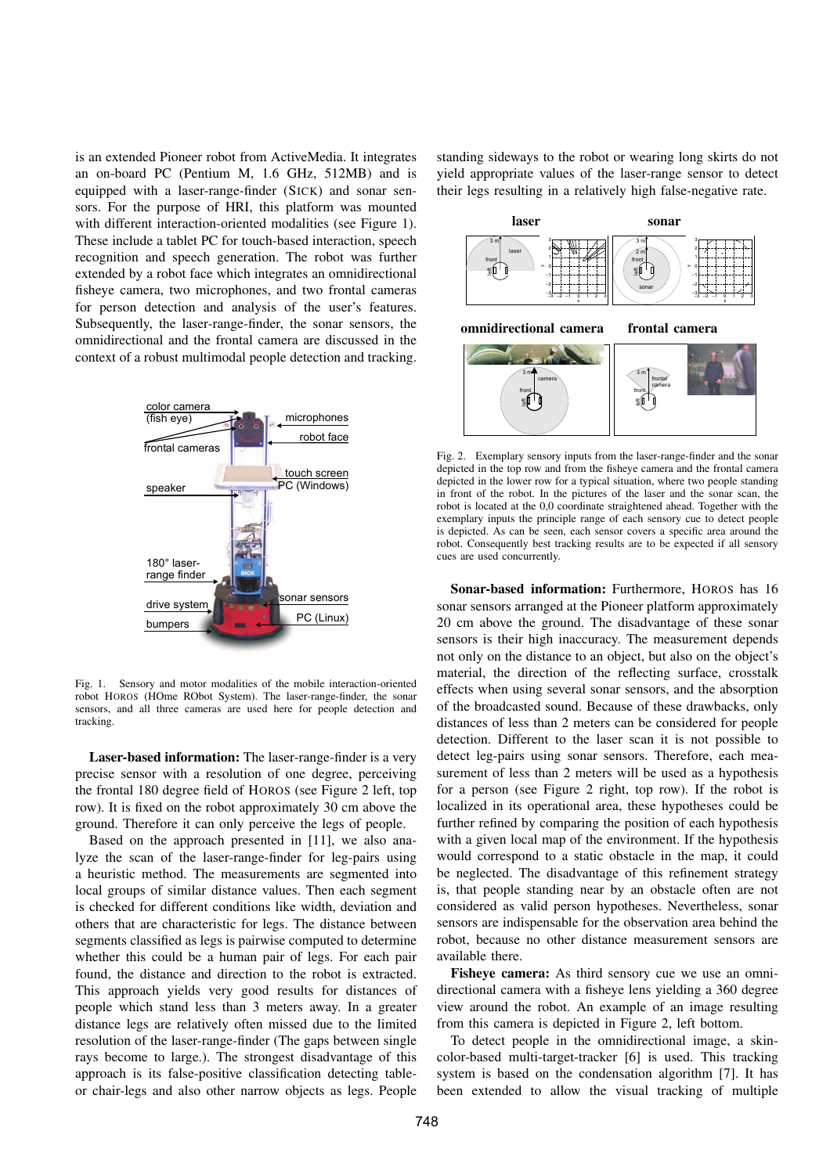is an extended Pioneer robot from ActiveMedia. It integrates an on-board PC (Pentium M, 1.6 GHz, 512MB) and is equipped with a laser-range-finder (SICK) and sonar sensors. For the purpose of HRI, this platform was mounted with different interaction-oriented modalities (see Figure 1). These include a tablet PC for touch-based interaction, speech recognition and speech generation. The robot was further extended by a robot face which integrates an omnidirectional fisheye camera, two microphones, and two frontal cameras for person detection and analysis of the user's features. Subsequently, the laser-range-finder, the sonar sensors, the omnidirectional and the frontal camera are discussed in the context of a robust multimodal people detection and tracking.



Fig. 1. Sensory and motor modalities of the mobile interaction-oriented robot HOROS (HOme RObot System). The laser-range-finder, the sonar sensors, and all three cameras are used here for people detection and tracking.

**Laser-based information:** The laser-range-finder is a very precise sensor with a resolution of one degree, perceiving the frontal 180 degree field of HOROS (see Figure 2 left, top row). It is fixed on the robot approximately 30 cm above the ground. Therefore it can only perceive the legs of people.

Based on the approach presented in [11], we also analyze the scan of the laser-range-finder for leg-pairs using a heuristic method. The measurements are segmented into local groups of similar distance values. Then each segment is checked for different conditions like width, deviation and others that are characteristic for legs. The distance between segments classified as legs is pairwise computed to determine whether this could be a human pair of legs. For each pair found, the distance and direction to the robot is extracted. This approach yields very good results for distances of people which stand less than 3 meters away. In a greater distance legs are relatively often missed due to the limited resolution of the laser-range-finder (The gaps between single rays become to large.). The strongest disadvantage of this approach is its false-positive classification detecting tableor chair-legs and also other narrow objects as legs. People

standing sideways to the robot or wearing long skirts do not yield appropriate values of the laser-range sensor to detect their legs resulting in a relatively high false-negative rate.



Fig. 2. Exemplary sensory inputs from the laser-range-finder and the sonar depicted in the top row and from the fisheye camera and the frontal camera depicted in the lower row for a typical situation, where two people standing in front of the robot. In the pictures of the laser and the sonar scan, the robot is located at the 0,0 coordinate straightened ahead. Together with the exemplary inputs the principle range of each sensory cue to detect people is depicted. As can be seen, each sensor covers a specific area around the robot. Consequently best tracking results are to be expected if all sensory cues are used concurrently.

**Sonar-based information:** Furthermore, HOROS has 16 sonar sensors arranged at the Pioneer platform approximately 20 cm above the ground. The disadvantage of these sonar sensors is their high inaccuracy. The measurement depends not only on the distance to an object, but also on the object's material, the direction of the reflecting surface, crosstalk effects when using several sonar sensors, and the absorption of the broadcasted sound. Because of these drawbacks, only distances of less than 2 meters can be considered for people detection. Different to the laser scan it is not possible to detect leg-pairs using sonar sensors. Therefore, each measurement of less than 2 meters will be used as a hypothesis for a person (see Figure 2 right, top row). If the robot is localized in its operational area, these hypotheses could be further refined by comparing the position of each hypothesis with a given local map of the environment. If the hypothesis would correspond to a static obstacle in the map, it could be neglected. The disadvantage of this refinement strategy is, that people standing near by an obstacle often are not considered as valid person hypotheses. Nevertheless, sonar sensors are indispensable for the observation area behind the robot, because no other distance measurement sensors are available there.

**Fisheye camera:** As third sensory cue we use an omnidirectional camera with a fisheye lens yielding a 360 degree view around the robot. An example of an image resulting from this camera is depicted in Figure 2, left bottom.

To detect people in the omnidirectional image, a skincolor-based multi-target-tracker [6] is used. This tracking system is based on the condensation algorithm [7]. It has been extended to allow the visual tracking of multiple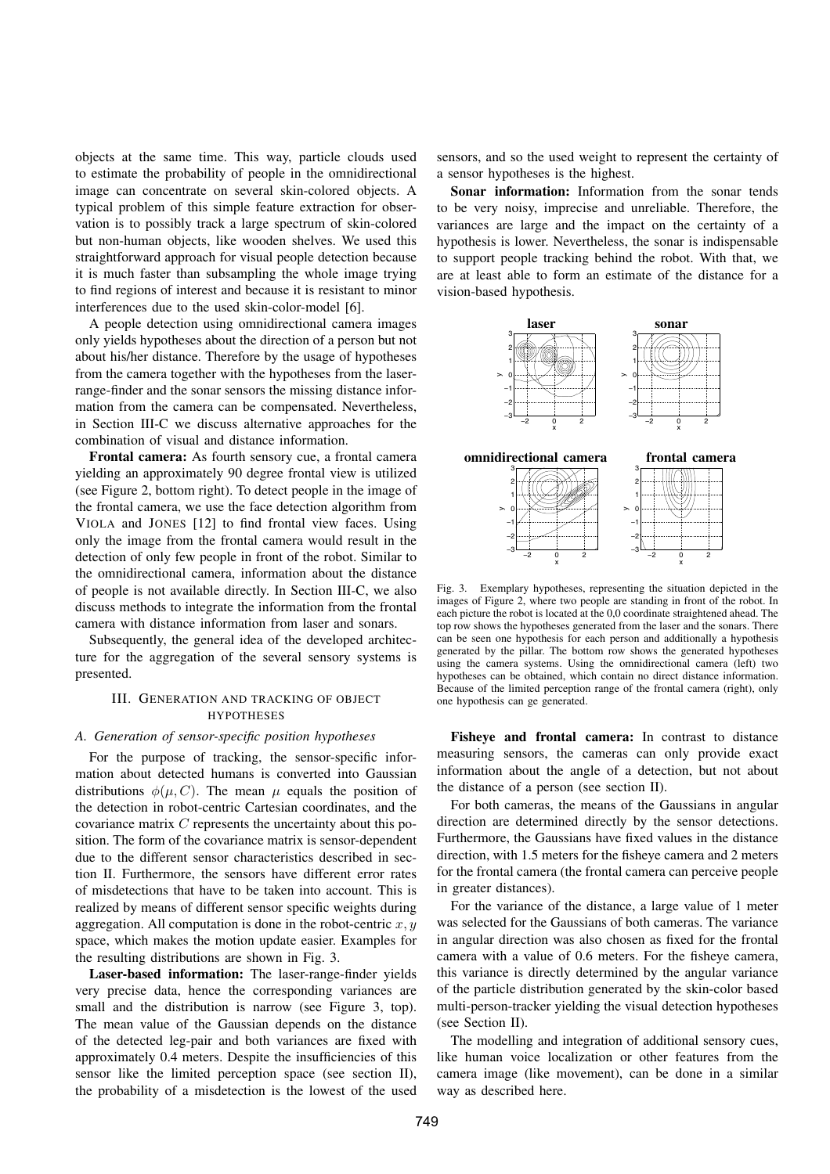objects at the same time. This way, particle clouds used to estimate the probability of people in the omnidirectional image can concentrate on several skin-colored objects. A typical problem of this simple feature extraction for observation is to possibly track a large spectrum of skin-colored but non-human objects, like wooden shelves. We used this straightforward approach for visual people detection because it is much faster than subsampling the whole image trying to find regions of interest and because it is resistant to minor interferences due to the used skin-color-model [6].

A people detection using omnidirectional camera images only yields hypotheses about the direction of a person but not about his/her distance. Therefore by the usage of hypotheses from the camera together with the hypotheses from the laserrange-finder and the sonar sensors the missing distance information from the camera can be compensated. Nevertheless, in Section III-C we discuss alternative approaches for the combination of visual and distance information.

**Frontal camera:** As fourth sensory cue, a frontal camera yielding an approximately 90 degree frontal view is utilized (see Figure 2, bottom right). To detect people in the image of the frontal camera, we use the face detection algorithm from VIOLA and JONES [12] to find frontal view faces. Using only the image from the frontal camera would result in the detection of only few people in front of the robot. Similar to the omnidirectional camera, information about the distance of people is not available directly. In Section III-C, we also discuss methods to integrate the information from the frontal camera with distance information from laser and sonars.

Subsequently, the general idea of the developed architecture for the aggregation of the several sensory systems is presented.

## III. GENERATION AND TRACKING OF OBJECT HYPOTHESES

# *A. Generation of sensor-specific position hypotheses*

For the purpose of tracking, the sensor-specific information about detected humans is converted into Gaussian distributions  $\phi(\mu, C)$ . The mean  $\mu$  equals the position of the detection in robot-centric Cartesian coordinates, and the covariance matrix C represents the uncertainty about this position. The form of the covariance matrix is sensor-dependent due to the different sensor characteristics described in section II. Furthermore, the sensors have different error rates of misdetections that have to be taken into account. This is realized by means of different sensor specific weights during aggregation. All computation is done in the robot-centric  $x, y$ space, which makes the motion update easier. Examples for the resulting distributions are shown in Fig. 3.

**Laser-based information:** The laser-range-finder yields very precise data, hence the corresponding variances are small and the distribution is narrow (see Figure 3, top). The mean value of the Gaussian depends on the distance of the detected leg-pair and both variances are fixed with approximately 0.4 meters. Despite the insufficiencies of this sensor like the limited perception space (see section II), the probability of a misdetection is the lowest of the used

sensors, and so the used weight to represent the certainty of a sensor hypotheses is the highest.

**Sonar information:** Information from the sonar tends to be very noisy, imprecise and unreliable. Therefore, the variances are large and the impact on the certainty of a hypothesis is lower. Nevertheless, the sonar is indispensable to support people tracking behind the robot. With that, we are at least able to form an estimate of the distance for a vision-based hypothesis.



Fig. 3. Exemplary hypotheses, representing the situation depicted in the images of Figure 2, where two people are standing in front of the robot. In each picture the robot is located at the 0,0 coordinate straightened ahead. The top row shows the hypotheses generated from the laser and the sonars. There can be seen one hypothesis for each person and additionally a hypothesis generated by the pillar. The bottom row shows the generated hypotheses using the camera systems. Using the omnidirectional camera (left) two hypotheses can be obtained, which contain no direct distance information. Because of the limited perception range of the frontal camera (right), only one hypothesis can ge generated.

**Fisheye and frontal camera:** In contrast to distance measuring sensors, the cameras can only provide exact information about the angle of a detection, but not about the distance of a person (see section II).

For both cameras, the means of the Gaussians in angular direction are determined directly by the sensor detections. Furthermore, the Gaussians have fixed values in the distance direction, with 1.5 meters for the fisheye camera and 2 meters for the frontal camera (the frontal camera can perceive people in greater distances).

For the variance of the distance, a large value of 1 meter was selected for the Gaussians of both cameras. The variance in angular direction was also chosen as fixed for the frontal camera with a value of 0.6 meters. For the fisheye camera, this variance is directly determined by the angular variance of the particle distribution generated by the skin-color based multi-person-tracker yielding the visual detection hypotheses (see Section II).

The modelling and integration of additional sensory cues, like human voice localization or other features from the camera image (like movement), can be done in a similar way as described here.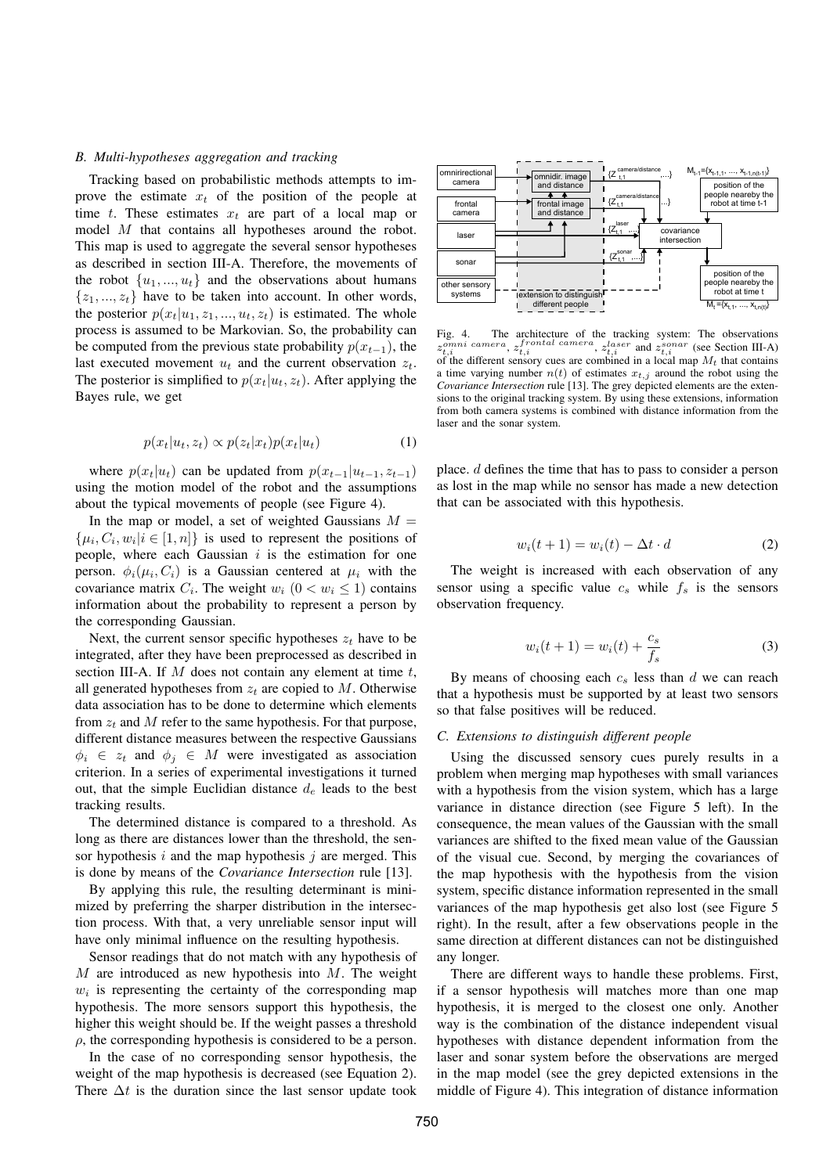### *B. Multi-hypotheses aggregation and tracking*

Tracking based on probabilistic methods attempts to improve the estimate  $x_t$  of the position of the people at time t. These estimates  $x_t$  are part of a local map or model M that contains all hypotheses around the robot. This map is used to aggregate the several sensor hypotheses as described in section III-A. Therefore, the movements of the robot  $\{u_1, ..., u_t\}$  and the observations about humans  $\{z_1, ..., z_t\}$  have to be taken into account. In other words, the posterior  $p(x_t|u_1, z_1, ..., u_t, z_t)$  is estimated. The whole process is assumed to be Markovian. So, the probability can be computed from the previous state probability  $p(x_{t-1})$ , the last executed movement  $u_t$  and the current observation  $z_t$ . The posterior is simplified to  $p(x_t|u_t, z_t)$ . After applying the Bayes rule, we get

$$
p(x_t|u_t, z_t) \propto p(z_t|x_t)p(x_t|u_t)
$$
\n(1)

where  $p(x_t|u_t)$  can be updated from  $p(x_{t-1}|u_{t-1}, z_{t-1})$ using the motion model of the robot and the assumptions about the typical movements of people (see Figure 4).

In the map or model, a set of weighted Gaussians  $M =$  $\{\mu_i, C_i, w_i | i \in [1, n]\}$  is used to represent the positions of people, where each Gaussian  $i$  is the estimation for one person.  $\phi_i(\mu_i, C_i)$  is a Gaussian centered at  $\mu_i$  with the covariance matrix  $C_i$ . The weight  $w_i$   $(0 < w_i \le 1)$  contains information about the probability to represent a person by the corresponding Gaussian.

Next, the current sensor specific hypotheses  $z_t$  have to be integrated, after they have been preprocessed as described in section III-A. If  $M$  does not contain any element at time  $t$ , all generated hypotheses from  $z_t$  are copied to M. Otherwise data association has to be done to determine which elements from  $z_t$  and M refer to the same hypothesis. For that purpose, different distance measures between the respective Gaussians  $\phi_i \in z_t$  and  $\phi_j \in M$  were investigated as association criterion. In a series of experimental investigations it turned out, that the simple Euclidian distance  $d_e$  leads to the best tracking results.

The determined distance is compared to a threshold. As long as there are distances lower than the threshold, the sensor hypothesis  $i$  and the map hypothesis  $j$  are merged. This is done by means of the *Covariance Intersection* rule [13].

By applying this rule, the resulting determinant is minimized by preferring the sharper distribution in the intersection process. With that, a very unreliable sensor input will have only minimal influence on the resulting hypothesis.

Sensor readings that do not match with any hypothesis of  $M$  are introduced as new hypothesis into  $M$ . The weight  $w_i$  is representing the certainty of the corresponding map hypothesis. The more sensors support this hypothesis, the higher this weight should be. If the weight passes a threshold  $\rho$ , the corresponding hypothesis is considered to be a person.

In the case of no corresponding sensor hypothesis, the weight of the map hypothesis is decreased (see Equation 2). There  $\Delta t$  is the duration since the last sensor update took



Fig. 4. The architecture of the tracking system: The observations  $z_{t,i}^{omni \text{ camera}}, z_{t,i}^{frontal \text{ camera}}, z_{t,i}^{laser}$  and  $z_{t,i}^{sonar}$  (see Section III-A) of the different sensory cues are combined in a local map  $M_t$  that contains a time varying number  $n(t)$  of estimates  $x_{t,j}$  around the robot using the *Covariance Intersection* rule [13]. The grey depicted elements are the extensions to the original tracking system. By using these extensions, information from both camera systems is combined with distance information from the laser and the sonar system.

place. d defines the time that has to pass to consider a person as lost in the map while no sensor has made a new detection that can be associated with this hypothesis.

$$
w_i(t+1) = w_i(t) - \Delta t \cdot d \tag{2}
$$

The weight is increased with each observation of any sensor using a specific value  $c_s$  while  $f_s$  is the sensors observation frequency.

$$
w_i(t+1) = w_i(t) + \frac{c_s}{f_s}
$$
 (3)

By means of choosing each  $c_s$  less than d we can reach that a hypothesis must be supported by at least two sensors so that false positives will be reduced.

### *C. Extensions to distinguish different people*

Using the discussed sensory cues purely results in a problem when merging map hypotheses with small variances with a hypothesis from the vision system, which has a large variance in distance direction (see Figure 5 left). In the consequence, the mean values of the Gaussian with the small variances are shifted to the fixed mean value of the Gaussian of the visual cue. Second, by merging the covariances of the map hypothesis with the hypothesis from the vision system, specific distance information represented in the small variances of the map hypothesis get also lost (see Figure 5 right). In the result, after a few observations people in the same direction at different distances can not be distinguished any longer.

There are different ways to handle these problems. First, if a sensor hypothesis will matches more than one map hypothesis, it is merged to the closest one only. Another way is the combination of the distance independent visual hypotheses with distance dependent information from the laser and sonar system before the observations are merged in the map model (see the grey depicted extensions in the middle of Figure 4). This integration of distance information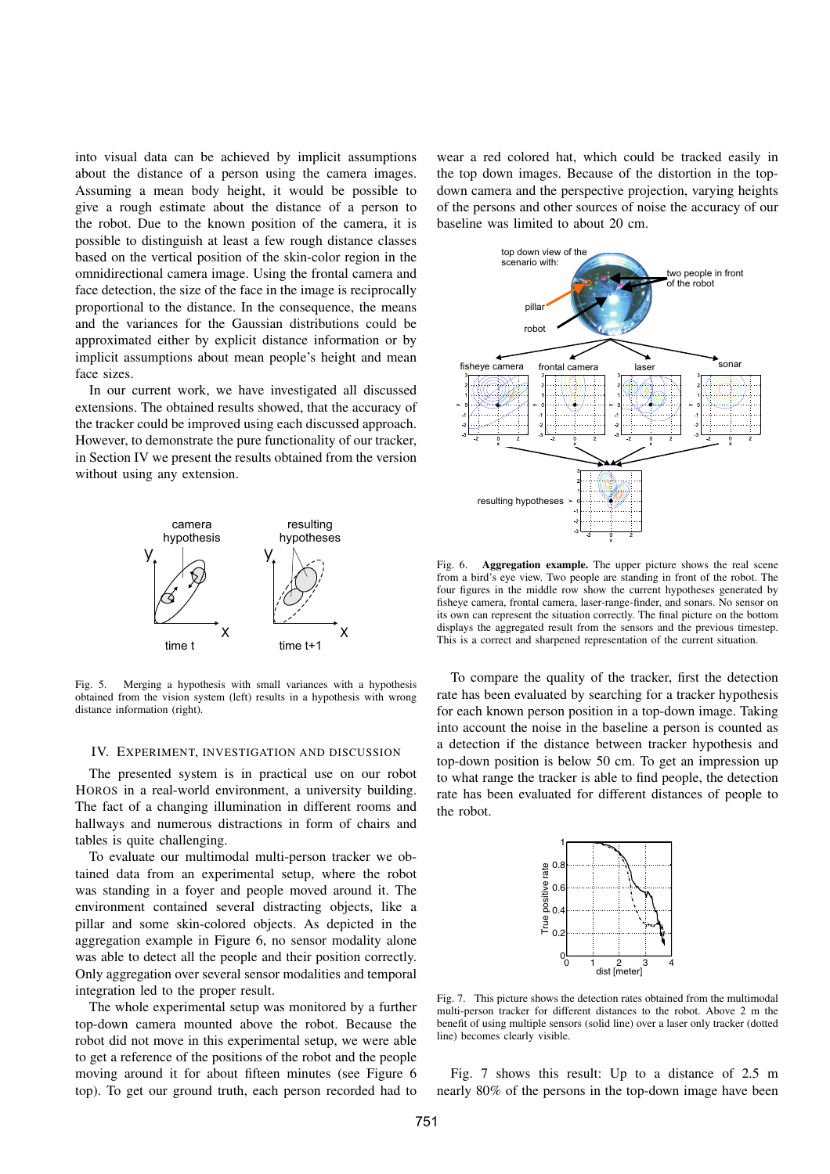into visual data can be achieved by implicit assumptions about the distance of a person using the camera images. Assuming a mean body height, it would be possible to give a rough estimate about the distance of a person to the robot. Due to the known position of the camera, it is possible to distinguish at least a few rough distance classes based on the vertical position of the skin-color region in the omnidirectional camera image. Using the frontal camera and face detection, the size of the face in the image is reciprocally proportional to the distance. In the consequence, the means and the variances for the Gaussian distributions could be approximated either by explicit distance information or by implicit assumptions about mean people's height and mean face sizes.

In our current work, we have investigated all discussed extensions. The obtained results showed, that the accuracy of the tracker could be improved using each discussed approach. However, to demonstrate the pure functionality of our tracker, in Section IV we present the results obtained from the version without using any extension.



Fig. 5. Merging a hypothesis with small variances with a hypothesis obtained from the vision system (left) results in a hypothesis with wrong distance information (right).

### IV. EXPERIMENT, INVESTIGATION AND DISCUSSION

The presented system is in practical use on our robot HOROS in a real-world environment, a university building. The fact of a changing illumination in different rooms and hallways and numerous distractions in form of chairs and tables is quite challenging.

To evaluate our multimodal multi-person tracker we obtained data from an experimental setup, where the robot was standing in a foyer and people moved around it. The environment contained several distracting objects, like a pillar and some skin-colored objects. As depicted in the aggregation example in Figure 6, no sensor modality alone was able to detect all the people and their position correctly. Only aggregation over several sensor modalities and temporal integration led to the proper result.

The whole experimental setup was monitored by a further top-down camera mounted above the robot. Because the robot did not move in this experimental setup, we were able to get a reference of the positions of the robot and the people moving around it for about fifteen minutes (see Figure 6 top). To get our ground truth, each person recorded had to

wear a red colored hat, which could be tracked easily in the top down images. Because of the distortion in the topdown camera and the perspective projection, varying heights of the persons and other sources of noise the accuracy of our baseline was limited to about 20 cm.



Fig. 6. **Aggregation example.** The upper picture shows the real scene from a bird's eye view. Two people are standing in front of the robot. The four figures in the middle row show the current hypotheses generated by fisheye camera, frontal camera, laser-range-finder, and sonars. No sensor on its own can represent the situation correctly. The final picture on the bottom displays the aggregated result from the sensors and the previous timestep. This is a correct and sharpened representation of the current situation.

To compare the quality of the tracker, first the detection rate has been evaluated by searching for a tracker hypothesis for each known person position in a top-down image. Taking into account the noise in the baseline a person is counted as a detection if the distance between tracker hypothesis and top-down position is below 50 cm. To get an impression up to what range the tracker is able to find people, the detection rate has been evaluated for different distances of people to the robot.



Fig. 7. This picture shows the detection rates obtained from the multimodal multi-person tracker for different distances to the robot. Above 2 m the benefit of using multiple sensors (solid line) over a laser only tracker (dotted line) becomes clearly visible.

Fig. 7 shows this result: Up to a distance of 2.5 m nearly 80% of the persons in the top-down image have been